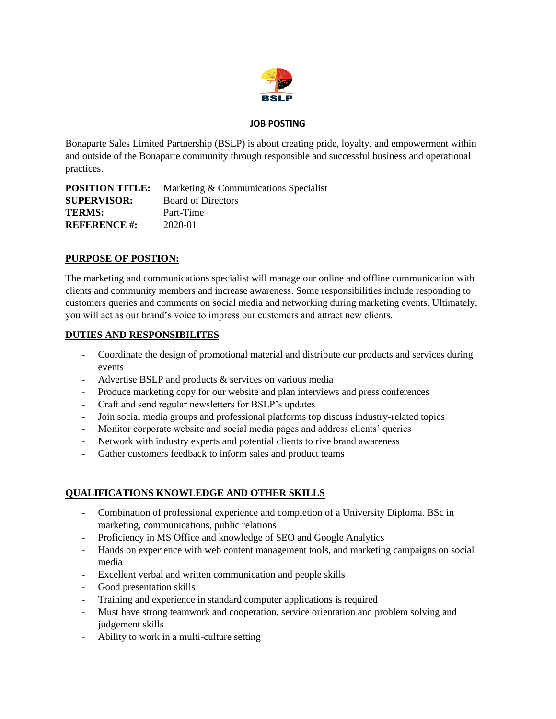

#### **JOB POSTING**

Bonaparte Sales Limited Partnership (BSLP) is about creating pride, loyalty, and empowerment within and outside of the Bonaparte community through responsible and successful business and operational practices.

| <b>POSITION TITLE:</b> | Marketing & Communications Specialist |
|------------------------|---------------------------------------|
| <b>SUPERVISOR:</b>     | <b>Board of Directors</b>             |
| <b>TERMS:</b>          | Part-Time                             |
| <b>REFERENCE #:</b>    | 2020-01                               |

## **PURPOSE OF POSTION:**

The marketing and communications specialist will manage our online and offline communication with clients and community members and increase awareness. Some responsibilities include responding to customers queries and comments on social media and networking during marketing events. Ultimately, you will act as our brand's voice to impress our customers and attract new clients.

### **DUTIES AND RESPONSIBILITES**

- Coordinate the design of promotional material and distribute our products and services during events
- Advertise BSLP and products & services on various media
- Produce marketing copy for our website and plan interviews and press conferences
- Craft and send regular newsletters for BSLP's updates
- Join social media groups and professional platforms top discuss industry-related topics
- Monitor corporate website and social media pages and address clients' queries
- Network with industry experts and potential clients to rive brand awareness
- Gather customers feedback to inform sales and product teams

### **QUALIFICATIONS KNOWLEDGE AND OTHER SKILLS**

- Combination of professional experience and completion of a University Diploma. BSc in marketing, communications, public relations
- Proficiency in MS Office and knowledge of SEO and Google Analytics
- Hands on experience with web content management tools, and marketing campaigns on social media
- Excellent verbal and written communication and people skills
- Good presentation skills
- Training and experience in standard computer applications is required
- Must have strong teamwork and cooperation, service orientation and problem solving and judgement skills
- Ability to work in a multi-culture setting